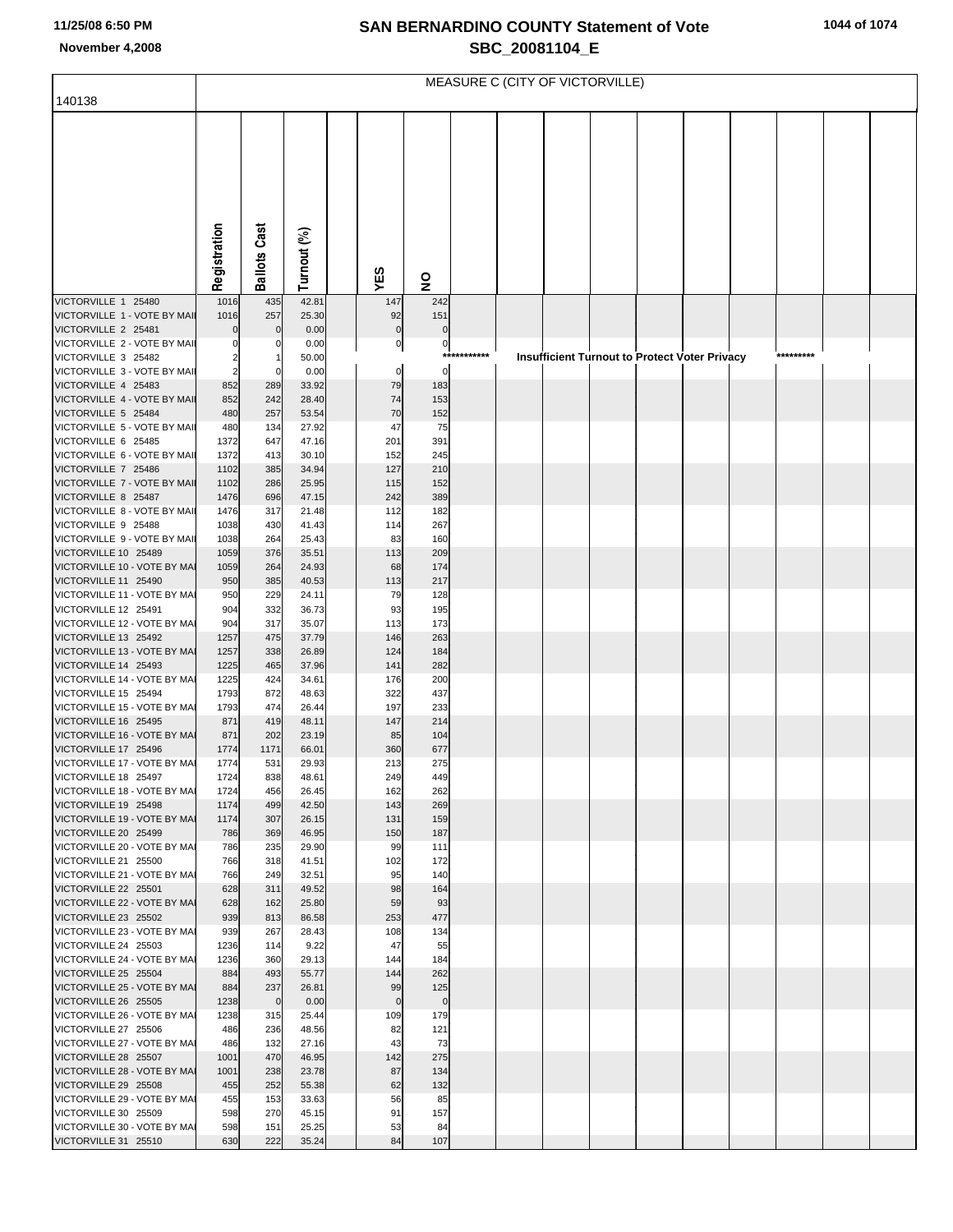## **SAN BERNARDINO COUNTY Statement of Vote November 4,2008 SBC\_20081104\_E**

|                                                      | MEASURE C (CITY OF VICTORVILLE) |                       |                |  |                   |                         |       |  |  |  |                                                      |  |  |           |  |  |
|------------------------------------------------------|---------------------------------|-----------------------|----------------|--|-------------------|-------------------------|-------|--|--|--|------------------------------------------------------|--|--|-----------|--|--|
| 140138                                               |                                 |                       |                |  |                   |                         |       |  |  |  |                                                      |  |  |           |  |  |
|                                                      |                                 |                       |                |  |                   |                         |       |  |  |  |                                                      |  |  |           |  |  |
|                                                      |                                 |                       |                |  |                   |                         |       |  |  |  |                                                      |  |  |           |  |  |
|                                                      |                                 |                       |                |  |                   |                         |       |  |  |  |                                                      |  |  |           |  |  |
|                                                      |                                 |                       |                |  |                   |                         |       |  |  |  |                                                      |  |  |           |  |  |
|                                                      |                                 |                       |                |  |                   |                         |       |  |  |  |                                                      |  |  |           |  |  |
|                                                      |                                 |                       |                |  |                   |                         |       |  |  |  |                                                      |  |  |           |  |  |
|                                                      |                                 |                       |                |  |                   |                         |       |  |  |  |                                                      |  |  |           |  |  |
|                                                      | Registration                    | <b>Ballots Cast</b>   | Turnout (%)    |  |                   |                         |       |  |  |  |                                                      |  |  |           |  |  |
|                                                      |                                 |                       |                |  | YES               | $\overline{\mathbf{z}}$ |       |  |  |  |                                                      |  |  |           |  |  |
| VICTORVILLE 1 25480                                  | 1016                            | 435                   | 42.81          |  | 147               | 242                     |       |  |  |  |                                                      |  |  |           |  |  |
| VICTORVILLE 1 - VOTE BY MAIL<br>VICTORVILLE 2 25481  | 1016<br>$\Omega$                | 257<br>$\Omega$       | 25.30<br>0.00  |  | 92<br>$\pmb{0}$   | 151<br>$\mathbf 0$      |       |  |  |  |                                                      |  |  |           |  |  |
| VICTORVILLE 2 - VOTE BY MAIL                         |                                 | 0                     | 0.00           |  | $\overline{0}$    | $\overline{0}$          |       |  |  |  |                                                      |  |  |           |  |  |
| VICTORVILLE 3 25482<br>VICTORVILLE 3 - VOTE BY MAIL  | 2<br>2                          | $\Omega$              | 50.00<br>0.00  |  | $\overline{0}$    | $***$<br>$\overline{0}$ | ***** |  |  |  | <b>Insufficient Turnout to Protect Voter Privacy</b> |  |  | ********* |  |  |
| VICTORVILLE 4 25483                                  | 852                             | 289                   | 33.92          |  | 79                | 183                     |       |  |  |  |                                                      |  |  |           |  |  |
| VICTORVILLE 4 - VOTE BY MAIL                         | 852                             | 242                   | 28.40          |  | 74                | 153                     |       |  |  |  |                                                      |  |  |           |  |  |
| VICTORVILLE 5 25484<br>VICTORVILLE 5 - VOTE BY MAIL  | 480<br>480                      | 257<br>134            | 53.54<br>27.92 |  | 70<br>47          | 152<br>75               |       |  |  |  |                                                      |  |  |           |  |  |
| VICTORVILLE 6 25485                                  | 1372                            | 647                   | 47.16          |  | 201               | 391                     |       |  |  |  |                                                      |  |  |           |  |  |
| VICTORVILLE 6 - VOTE BY MAII<br>VICTORVILLE 7 25486  | 1372<br>1102                    | 413<br>385            | 30.10<br>34.94 |  | 152<br>127        | 245<br>210              |       |  |  |  |                                                      |  |  |           |  |  |
| VICTORVILLE 7 - VOTE BY MAIL                         | 1102                            | 286                   | 25.95          |  | 115               | 152                     |       |  |  |  |                                                      |  |  |           |  |  |
| VICTORVILLE 8 25487                                  | 1476                            | 696                   | 47.15          |  | 242               | 389                     |       |  |  |  |                                                      |  |  |           |  |  |
| VICTORVILLE 8 - VOTE BY MAIL<br>VICTORVILLE 9 25488  | 1476<br>1038                    | 317<br>430            | 21.48<br>41.43 |  | 112<br>114        | 182<br>267              |       |  |  |  |                                                      |  |  |           |  |  |
| VICTORVILLE 9 - VOTE BY MAIL                         | 1038                            | 264                   | 25.43          |  | 83                | 160                     |       |  |  |  |                                                      |  |  |           |  |  |
| VICTORVILLE 10 25489<br>VICTORVILLE 10 - VOTE BY MAI | 1059<br>1059                    | 376<br>264            | 35.51<br>24.93 |  | 113<br>68         | 209<br>174              |       |  |  |  |                                                      |  |  |           |  |  |
| VICTORVILLE 11 25490                                 | 950                             | 385                   | 40.53          |  | 113               | 217                     |       |  |  |  |                                                      |  |  |           |  |  |
| VICTORVILLE 11 - VOTE BY MAI                         | 950                             | 229                   | 24.11          |  | 79                | 128                     |       |  |  |  |                                                      |  |  |           |  |  |
| VICTORVILLE 12 25491<br>VICTORVILLE 12 - VOTE BY MAI | 904<br>904                      | 332<br>317            | 36.73<br>35.07 |  | 93<br>113         | 195<br>173              |       |  |  |  |                                                      |  |  |           |  |  |
| VICTORVILLE 13 25492                                 | 1257                            | 475                   | 37.79          |  | 146               | 263                     |       |  |  |  |                                                      |  |  |           |  |  |
| VICTORVILLE 13 - VOTE BY MAI<br>VICTORVILLE 14 25493 | 1257<br>1225                    | 338<br>465            | 26.89<br>37.96 |  | 124<br>141        | 184<br>282              |       |  |  |  |                                                      |  |  |           |  |  |
| VICTORVILLE 14 - VOTE BY MAI                         | 1225                            | 424                   | 34.61          |  | 176               | 200                     |       |  |  |  |                                                      |  |  |           |  |  |
| VICTORVILLE 15 25494                                 | 1793                            | 872                   | 48.63          |  | 322               | 437                     |       |  |  |  |                                                      |  |  |           |  |  |
| VICTORVILLE 15 - VOTE BY MAI<br>VICTORVILLE 16 25495 | 1793<br>871                     | 474<br>419            | 26.44<br>48.11 |  | 197<br>147        | 233<br>214              |       |  |  |  |                                                      |  |  |           |  |  |
| VICTORVILLE 16 - VOTE BY MAI                         | 871                             | 202                   | 23.19          |  | 85                | 104                     |       |  |  |  |                                                      |  |  |           |  |  |
| VICTORVILLE 17 25496<br>VICTORVILLE 17 - VOTE BY MAI | 1774<br>1774                    | 1171<br>531           | 66.01<br>29.93 |  | 360<br>213        | 677<br>275              |       |  |  |  |                                                      |  |  |           |  |  |
| VICTORVILLE 18 25497                                 | 1724                            | 838                   | 48.61          |  | 249               | 449                     |       |  |  |  |                                                      |  |  |           |  |  |
| VICTORVILLE 18 - VOTE BY MAI<br>VICTORVILLE 19 25498 | 1724<br>1174                    | 456<br>499            | 26.45<br>42.50 |  | 162<br>143        | 262<br>269              |       |  |  |  |                                                      |  |  |           |  |  |
| VICTORVILLE 19 - VOTE BY MAI                         | 1174                            | 307                   | 26.15          |  | 131               | 159                     |       |  |  |  |                                                      |  |  |           |  |  |
| VICTORVILLE 20 25499                                 | 786                             | 369                   | 46.95          |  | 150               | 187                     |       |  |  |  |                                                      |  |  |           |  |  |
| VICTORVILLE 20 - VOTE BY MAI<br>VICTORVILLE 21 25500 | 786<br>766                      | 235<br>318            | 29.90<br>41.51 |  | 99<br>102         | 111<br>172              |       |  |  |  |                                                      |  |  |           |  |  |
| VICTORVILLE 21 - VOTE BY MAI                         | 766                             | 249                   | 32.51          |  | 95                | 140                     |       |  |  |  |                                                      |  |  |           |  |  |
| VICTORVILLE 22 25501<br>VICTORVILLE 22 - VOTE BY MAI | 628<br>628                      | 311<br>162            | 49.52<br>25.80 |  | 98<br>59          | 164<br>93               |       |  |  |  |                                                      |  |  |           |  |  |
| VICTORVILLE 23 25502                                 | 939                             | 813                   | 86.58          |  | 253               | 477                     |       |  |  |  |                                                      |  |  |           |  |  |
| VICTORVILLE 23 - VOTE BY MAI                         | 939                             | 267                   | 28.43          |  | 108               | 134                     |       |  |  |  |                                                      |  |  |           |  |  |
| VICTORVILLE 24 25503<br>VICTORVILLE 24 - VOTE BY MAI | 1236<br>1236                    | 114<br>360            | 9.22<br>29.13  |  | 47<br>144         | 55<br>184               |       |  |  |  |                                                      |  |  |           |  |  |
| VICTORVILLE 25 25504                                 | 884                             | 493                   | 55.77          |  | 144               | 262                     |       |  |  |  |                                                      |  |  |           |  |  |
| VICTORVILLE 25 - VOTE BY MAI<br>VICTORVILLE 26 25505 | 884<br>1238                     | 237<br>$\overline{0}$ | 26.81<br>0.00  |  | 99<br>$\mathbf 0$ | 125<br>$\overline{0}$   |       |  |  |  |                                                      |  |  |           |  |  |
| VICTORVILLE 26 - VOTE BY MAI                         | 1238                            | 315                   | 25.44          |  | 109               | 179                     |       |  |  |  |                                                      |  |  |           |  |  |
| VICTORVILLE 27 25506<br>VICTORVILLE 27 - VOTE BY MAI | 486<br>486                      | 236<br>132            | 48.56<br>27.16 |  | 82<br>43          | 121<br>73               |       |  |  |  |                                                      |  |  |           |  |  |
| VICTORVILLE 28 25507                                 | 1001                            | 470                   | 46.95          |  | 142               | 275                     |       |  |  |  |                                                      |  |  |           |  |  |
| VICTORVILLE 28 - VOTE BY MAI                         | 1001                            | 238                   | 23.78          |  | 87                | 134                     |       |  |  |  |                                                      |  |  |           |  |  |
| VICTORVILLE 29 25508<br>VICTORVILLE 29 - VOTE BY MAI | 455<br>455                      | 252<br>153            | 55.38<br>33.63 |  | 62<br>56          | 132<br>85               |       |  |  |  |                                                      |  |  |           |  |  |
| VICTORVILLE 30 25509                                 | 598                             | 270                   | 45.15          |  | 91                | 157                     |       |  |  |  |                                                      |  |  |           |  |  |
| VICTORVILLE 30 - VOTE BY MAI<br>VICTORVILLE 31 25510 | 598<br>630                      | 151<br>222            | 25.25<br>35.24 |  | 53<br>84          | 84<br>107               |       |  |  |  |                                                      |  |  |           |  |  |
|                                                      |                                 |                       |                |  |                   |                         |       |  |  |  |                                                      |  |  |           |  |  |